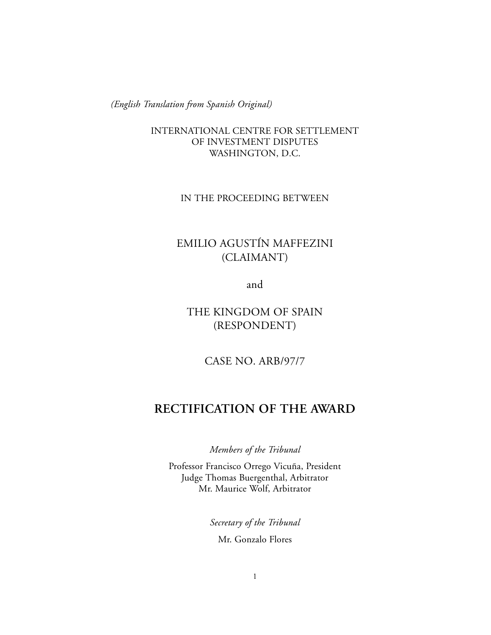*(English Translation from Spanish Original)*

INTERNATIONAL CENTRE FOR SETTLEMENT OF INVESTMENT DISPUTES WASHINGTON, D.C.

# IN THE PROCEEDING BETWEEN

# EMILIO AGUSTÍN MAFFEZINI (CLAIMANT)

and

THE KINGDOM OF SPAIN (RESPONDENT)

CASE NO. ARB/97/7

# **RECTIFICATION OF THE AWARD**

*Members of the Tribunal*

Professor Francisco Orrego Vicuña, President Judge Thomas Buergenthal, Arbitrator Mr. Maurice Wolf, Arbitrator

*Secretary of the Tribunal*

Mr. Gonzalo Flores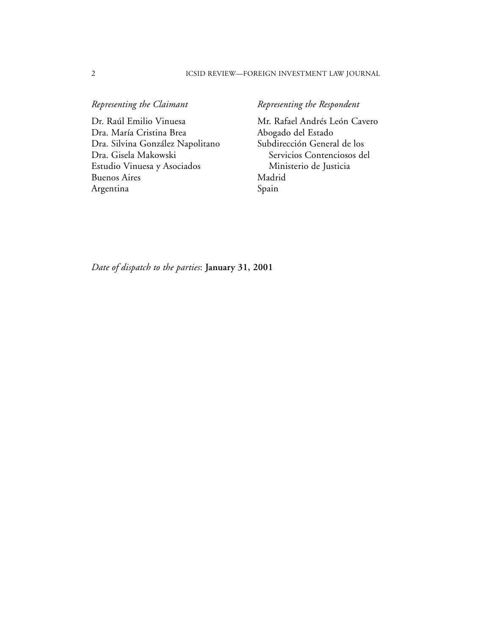#### 2 ICSID REVIEW—FOREIGN INVESTMENT LAW JOURNAL

Dr. Raúl Emilio Vinuesa Mr. Rafael Andrés León Cavero<br>Dra. María Cristina Brea Abogado del Estado Dra. María Cristina Brea Abogado del Estado<br>Dra. Silvina González Napolitano Subdirección General de los Dra. Silvina González Napolitano Dra. Gisela Makowski Servicios Contenciosos del Estudio Vinuesa y Asociados Ministerio de Justicia Buenos Aires Madrid Argentina Spain

# *Representing the Claimant* **Representing the Respondent**

*Date of dispatch to the parties*: **January 31, 2001**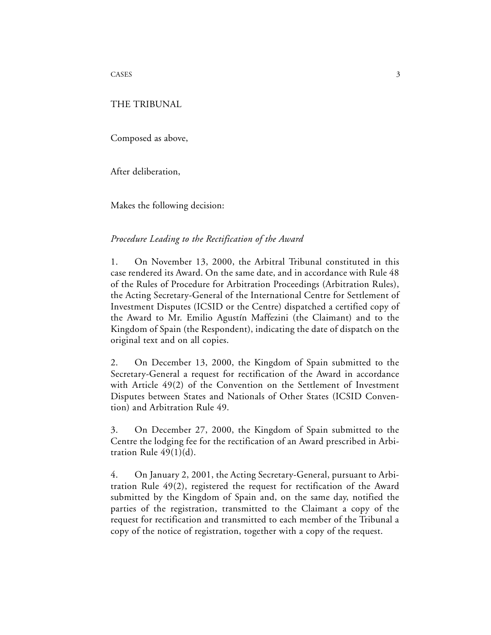CASES 3

#### THE TRIBUNAL

Composed as above,

After deliberation,

Makes the following decision:

### *Procedure Leading to the Rectification of the Award*

1. On November 13, 2000, the Arbitral Tribunal constituted in this case rendered its Award. On the same date, and in accordance with Rule 48 of the Rules of Procedure for Arbitration Proceedings (Arbitration Rules), the Acting Secretary-General of the International Centre for Settlement of Investment Disputes (ICSID or the Centre) dispatched a certified copy of the Award to Mr. Emilio Agustín Maffezini (the Claimant) and to the Kingdom of Spain (the Respondent), indicating the date of dispatch on the original text and on all copies.

2. On December 13, 2000, the Kingdom of Spain submitted to the Secretary-General a request for rectification of the Award in accordance with Article 49(2) of the Convention on the Settlement of Investment Disputes between States and Nationals of Other States (ICSID Convention) and Arbitration Rule 49.

3. On December 27, 2000, the Kingdom of Spain submitted to the Centre the lodging fee for the rectification of an Award prescribed in Arbitration Rule 49(1)(d).

4. On January 2, 2001, the Acting Secretary-General, pursuant to Arbitration Rule 49(2), registered the request for rectification of the Award submitted by the Kingdom of Spain and, on the same day, notified the parties of the registration, transmitted to the Claimant a copy of the request for rectification and transmitted to each member of the Tribunal a copy of the notice of registration, together with a copy of the request.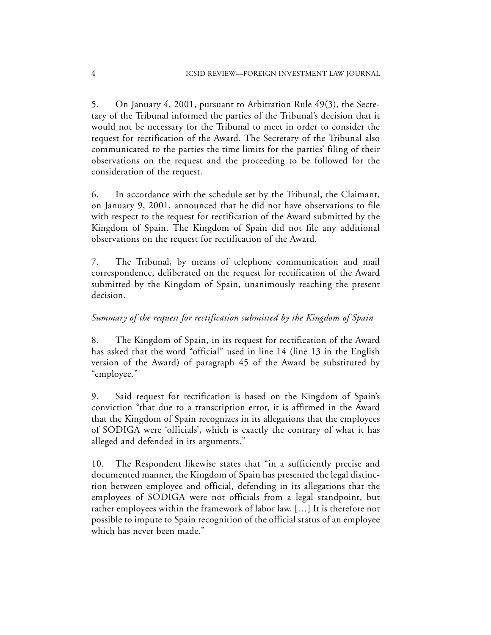5. On January 4, 2001, pursuant to Arbitration Rule 49(3), the Secretary of the Tribunal informed the parties of the Tribunal's decision that it would not be necessary for the Tribunal to meet in order to consider the request for rectification of the Award. The Secretary of the Tribunal also communicated to the parties the time limits for the parties' filing of their observations on the request and the proceeding to be followed for the consideration of the request.

6. In accordance with the schedule set by the Tribunal, the Claimant, on January 9, 2001, announced that he did not have observations to file with respect to the request for rectification of the Award submitted by the Kingdom of Spain. The Kingdom of Spain did not file any additional observations on the request for rectification of the Award.

7. The Tribunal, by means of telephone communication and mail correspondence, deliberated on the request for rectification of the Award submitted by the Kingdom of Spain, unanimously reaching the present decision.

## *Summary of the request for rectification submitted by the Kingdom of Spain*

8. The Kingdom of Spain, in its request for rectification of the Award has asked that the word "official" used in line 14 (line 13 in the English version of the Award) of paragraph 45 of the Award be substituted by "employee."

9. Said request for rectification is based on the Kingdom of Spain's conviction "that due to a transcription error, it is affirmed in the Award that the Kingdom of Spain recognizes in its allegations that the employees of SODIGA were 'officials', which is exactly the contrary of what it has alleged and defended in its arguments."

10. The Respondent likewise states that "in a sufficiently precise and documented manner, the Kingdom of Spain has presented the legal distinction between employee and official, defending in its allegations that the employees of SODIGA were not officials from a legal standpoint, but rather employees within the framework of labor law. […] It is therefore not possible to impute to Spain recognition of the official status of an employee which has never been made."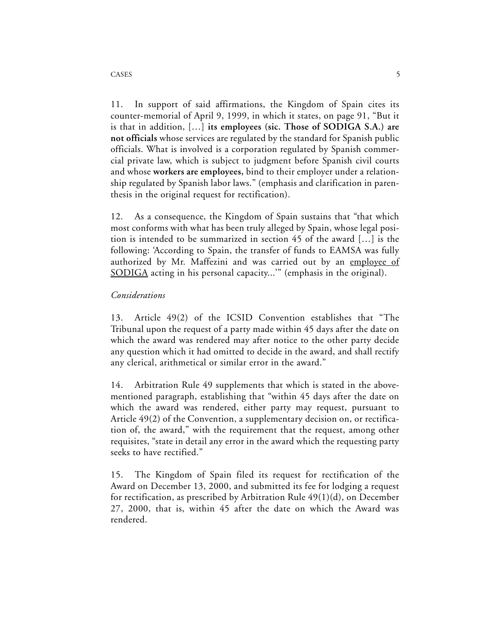11. In support of said affirmations, the Kingdom of Spain cites its counter-memorial of April 9, 1999, in which it states, on page 91, "But it is that in addition, […] **its employees (sic. Those of SODIGA S.A.) are not officials** whose services are regulated by the standard for Spanish public officials. What is involved is a corporation regulated by Spanish commercial private law, which is subject to judgment before Spanish civil courts and whose **workers are employees,** bind to their employer under a relationship regulated by Spanish labor laws." (emphasis and clarification in parenthesis in the original request for rectification).

12. As a consequence, the Kingdom of Spain sustains that "that which most conforms with what has been truly alleged by Spain, whose legal position is intended to be summarized in section 45 of the award […] is the following: 'According to Spain, the transfer of funds to EAMSA was fully authorized by Mr. Maffezini and was carried out by an employee of SODIGA acting in his personal capacity...'" (emphasis in the original).

## *Considerations*

13. Article 49(2) of the ICSID Convention establishes that "The Tribunal upon the request of a party made within 45 days after the date on which the award was rendered may after notice to the other party decide any question which it had omitted to decide in the award, and shall rectify any clerical, arithmetical or similar error in the award."

14. Arbitration Rule 49 supplements that which is stated in the abovementioned paragraph, establishing that "within 45 days after the date on which the award was rendered, either party may request, pursuant to Article 49(2) of the Convention, a supplementary decision on, or rectification of, the award," with the requirement that the request, among other requisites, "state in detail any error in the award which the requesting party seeks to have rectified."

15. The Kingdom of Spain filed its request for rectification of the Award on December 13, 2000, and submitted its fee for lodging a request for rectification, as prescribed by Arbitration Rule 49(1)(d), on December 27, 2000, that is, within 45 after the date on which the Award was rendered.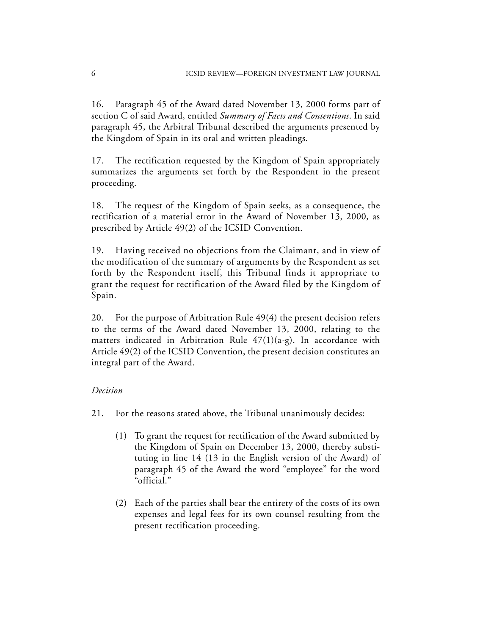16. Paragraph 45 of the Award dated November 13, 2000 forms part of section C of said Award, entitled *Summary of Facts and Contentions*. In said paragraph 45, the Arbitral Tribunal described the arguments presented by the Kingdom of Spain in its oral and written pleadings.

17. The rectification requested by the Kingdom of Spain appropriately summarizes the arguments set forth by the Respondent in the present proceeding.

18. The request of the Kingdom of Spain seeks, as a consequence, the rectification of a material error in the Award of November 13, 2000, as prescribed by Article 49(2) of the ICSID Convention.

19. Having received no objections from the Claimant, and in view of the modification of the summary of arguments by the Respondent as set forth by the Respondent itself, this Tribunal finds it appropriate to grant the request for rectification of the Award filed by the Kingdom of Spain.

20. For the purpose of Arbitration Rule 49(4) the present decision refers to the terms of the Award dated November 13, 2000, relating to the matters indicated in Arbitration Rule  $47(1)(a-g)$ . In accordance with Article 49(2) of the ICSID Convention, the present decision constitutes an integral part of the Award.

### *Decision*

- 21. For the reasons stated above, the Tribunal unanimously decides:
	- (1) To grant the request for rectification of the Award submitted by the Kingdom of Spain on December 13, 2000, thereby substituting in line 14 (13 in the English version of the Award) of paragraph 45 of the Award the word "employee" for the word "official."
	- (2) Each of the parties shall bear the entirety of the costs of its own expenses and legal fees for its own counsel resulting from the present rectification proceeding.